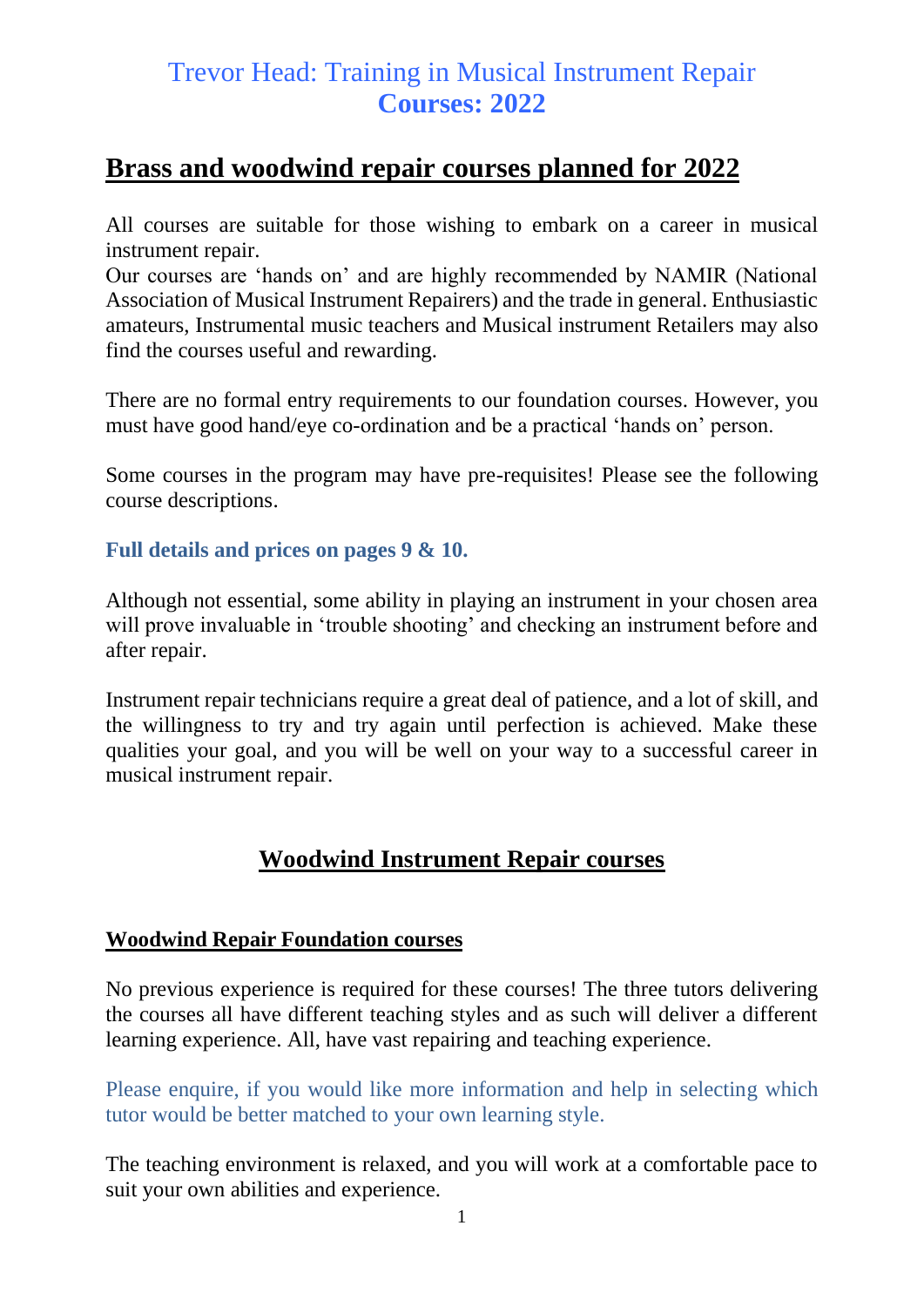## **Brass and woodwind repair courses planned for 2022**

All courses are suitable for those wishing to embark on a career in musical instrument repair.

Our courses are 'hands on' and are highly recommended by NAMIR (National Association of Musical Instrument Repairers) and the trade in general. Enthusiastic amateurs, Instrumental music teachers and Musical instrument Retailers may also find the courses useful and rewarding.

There are no formal entry requirements to our foundation courses. However, you must have good hand/eye co-ordination and be a practical 'hands on' person.

Some courses in the program may have pre-requisites! Please see the following course descriptions.

**Full details and prices on pages 9 & 10.**

Although not essential, some ability in playing an instrument in your chosen area will prove invaluable in 'trouble shooting' and checking an instrument before and after repair.

Instrument repair technicians require a great deal of patience, and a lot of skill, and the willingness to try and try again until perfection is achieved. Make these qualities your goal, and you will be well on your way to a successful career in musical instrument repair.

## **Woodwind Instrument Repair courses**

#### **Woodwind Repair Foundation courses**

No previous experience is required for these courses! The three tutors delivering the courses all have different teaching styles and as such will deliver a different learning experience. All, have vast repairing and teaching experience.

Please enquire, if you would like more information and help in selecting which tutor would be better matched to your own learning style.

The teaching environment is relaxed, and you will work at a comfortable pace to suit your own abilities and experience.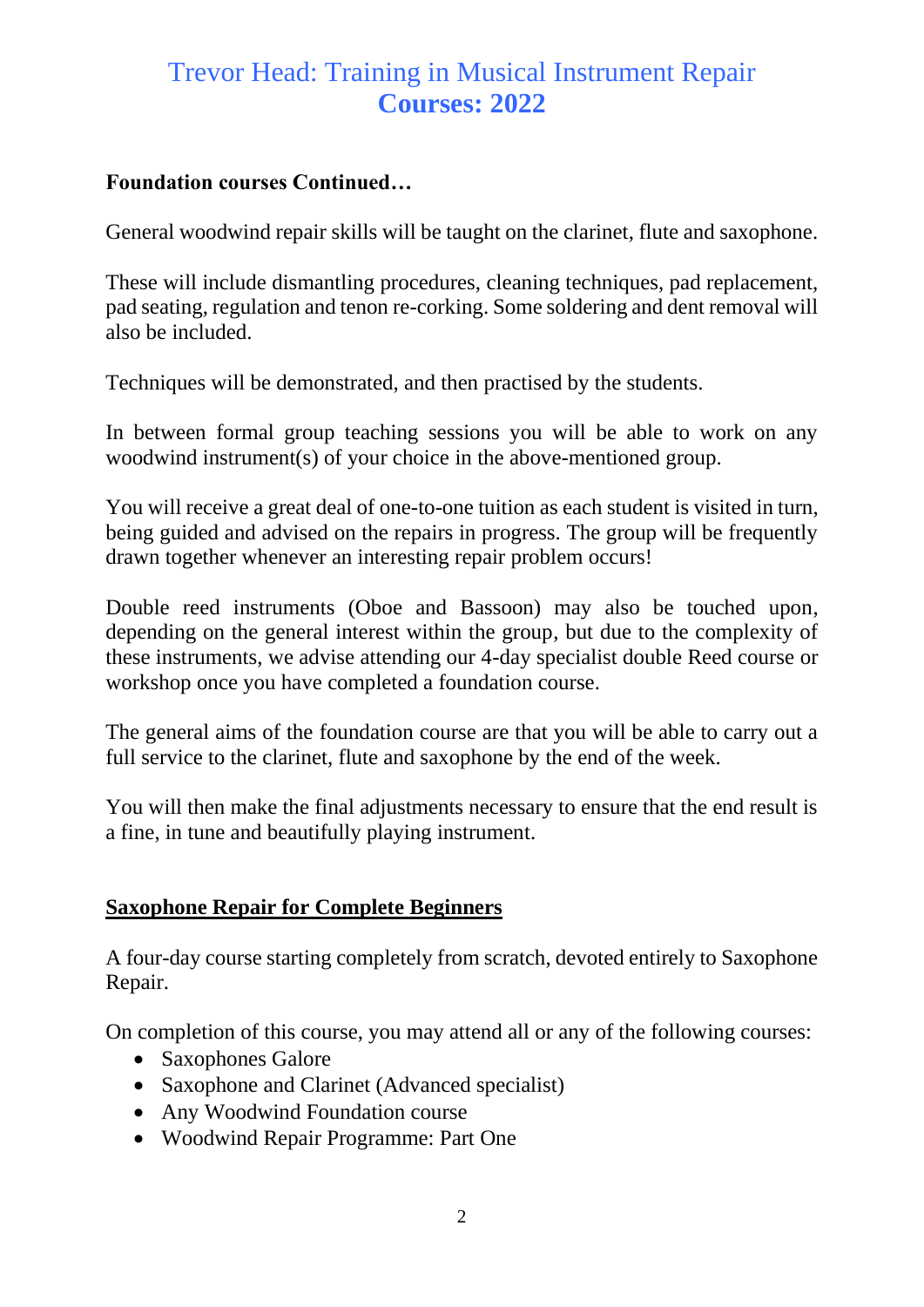#### **Foundation courses Continued…**

General woodwind repair skills will be taught on the clarinet, flute and saxophone.

These will include dismantling procedures, cleaning techniques, pad replacement, pad seating, regulation and tenon re-corking. Some soldering and dent removal will also be included.

Techniques will be demonstrated, and then practised by the students.

In between formal group teaching sessions you will be able to work on any woodwind instrument(s) of your choice in the above-mentioned group.

You will receive a great deal of one-to-one tuition as each student is visited in turn, being guided and advised on the repairs in progress. The group will be frequently drawn together whenever an interesting repair problem occurs!

Double reed instruments (Oboe and Bassoon) may also be touched upon, depending on the general interest within the group, but due to the complexity of these instruments, we advise attending our 4-day specialist double Reed course or workshop once you have completed a foundation course.

The general aims of the foundation course are that you will be able to carry out a full service to the clarinet, flute and saxophone by the end of the week.

You will then make the final adjustments necessary to ensure that the end result is a fine, in tune and beautifully playing instrument.

### **Saxophone Repair for Complete Beginners**

A four-day course starting completely from scratch, devoted entirely to Saxophone Repair.

On completion of this course, you may attend all or any of the following courses:

- Saxophones Galore
- Saxophone and Clarinet (Advanced specialist)
- Any Woodwind Foundation course
- Woodwind Repair Programme: Part One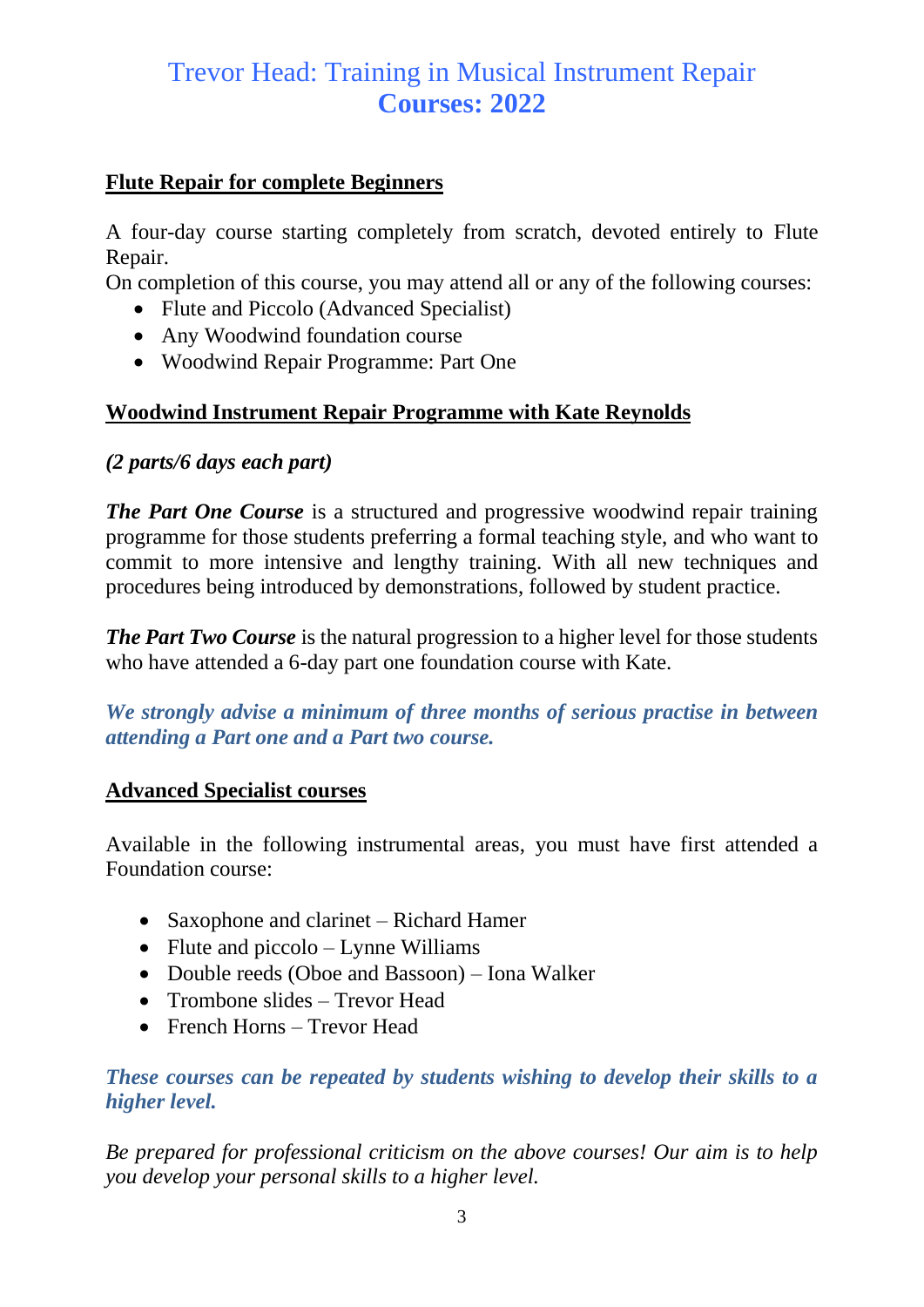### **Flute Repair for complete Beginners**

A four-day course starting completely from scratch, devoted entirely to Flute Repair.

On completion of this course, you may attend all or any of the following courses:

- Flute and Piccolo (Advanced Specialist)
- Any Woodwind foundation course
- Woodwind Repair Programme: Part One

### **Woodwind Instrument Repair Programme with Kate Reynolds**

### *(2 parts/6 days each part)*

*The Part One Course* is a structured and progressive woodwind repair training programme for those students preferring a formal teaching style, and who want to commit to more intensive and lengthy training. With all new techniques and procedures being introduced by demonstrations, followed by student practice.

*The Part Two Course* is the natural progression to a higher level for those students who have attended a 6-day part one foundation course with Kate.

*We strongly advise a minimum of three months of serious practise in between attending a Part one and a Part two course.*

### **Advanced Specialist courses**

Available in the following instrumental areas, you must have first attended a Foundation course:

- Saxophone and clarinet Richard Hamer
- Flute and piccolo Lynne Williams
- Double reeds (Oboe and Bassoon) Iona Walker
- Trombone slides Trevor Head
- French Horns Trevor Head

### *These courses can be repeated by students wishing to develop their skills to a higher level.*

*Be prepared for professional criticism on the above courses! Our aim is to help you develop your personal skills to a higher level.*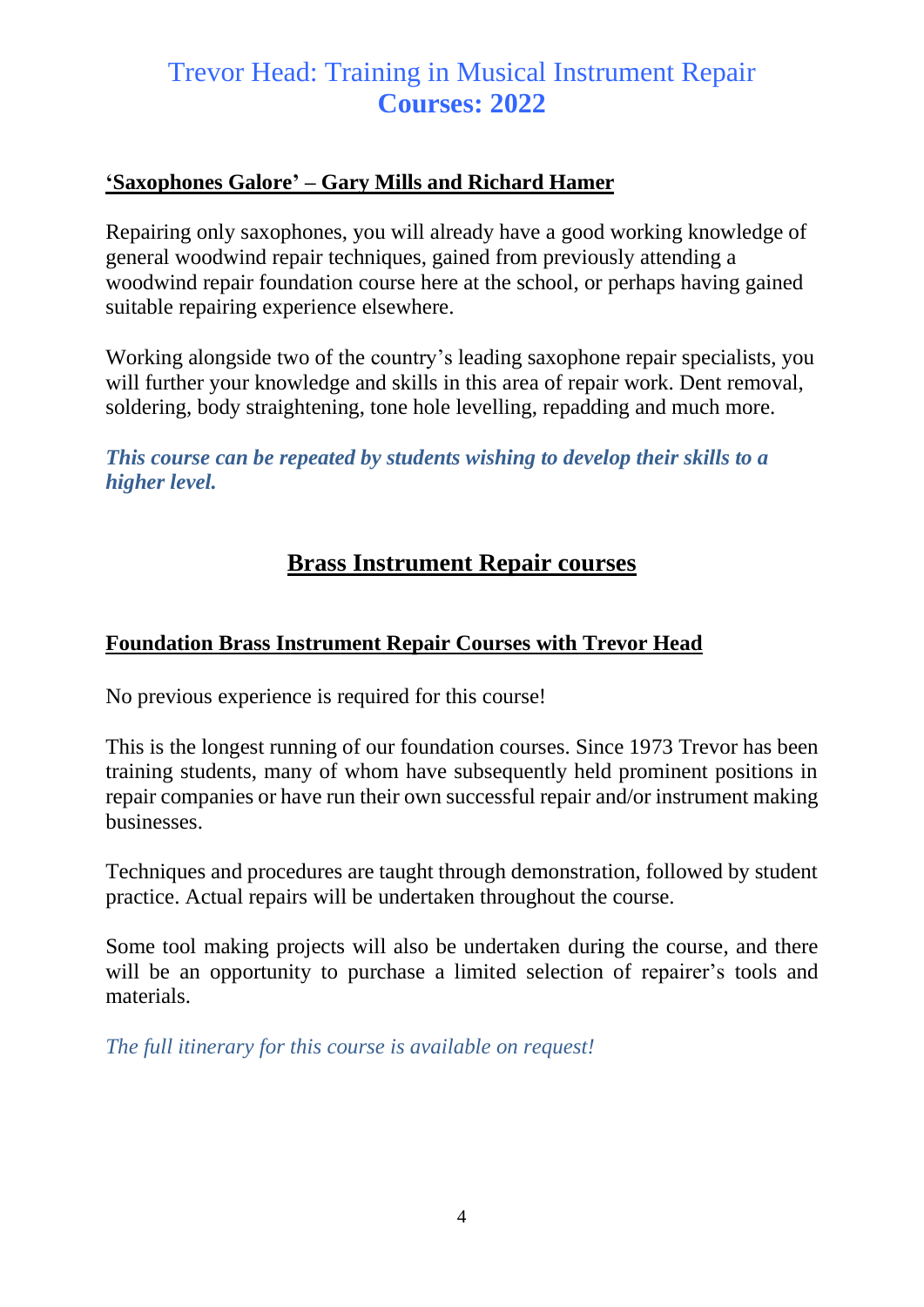### **'Saxophones Galore' – Gary Mills and Richard Hamer**

Repairing only saxophones, you will already have a good working knowledge of general woodwind repair techniques, gained from previously attending a woodwind repair foundation course here at the school, or perhaps having gained suitable repairing experience elsewhere.

Working alongside two of the country's leading saxophone repair specialists, you will further your knowledge and skills in this area of repair work. Dent removal, soldering, body straightening, tone hole levelling, repadding and much more.

*This course can be repeated by students wishing to develop their skills to a higher level.*

## **Brass Instrument Repair courses**

### **Foundation Brass Instrument Repair Courses with Trevor Head**

No previous experience is required for this course!

This is the longest running of our foundation courses. Since 1973 Trevor has been training students, many of whom have subsequently held prominent positions in repair companies or have run their own successful repair and/or instrument making businesses.

Techniques and procedures are taught through demonstration, followed by student practice. Actual repairs will be undertaken throughout the course.

Some tool making projects will also be undertaken during the course, and there will be an opportunity to purchase a limited selection of repairer's tools and materials.

*The full itinerary for this course is available on request!*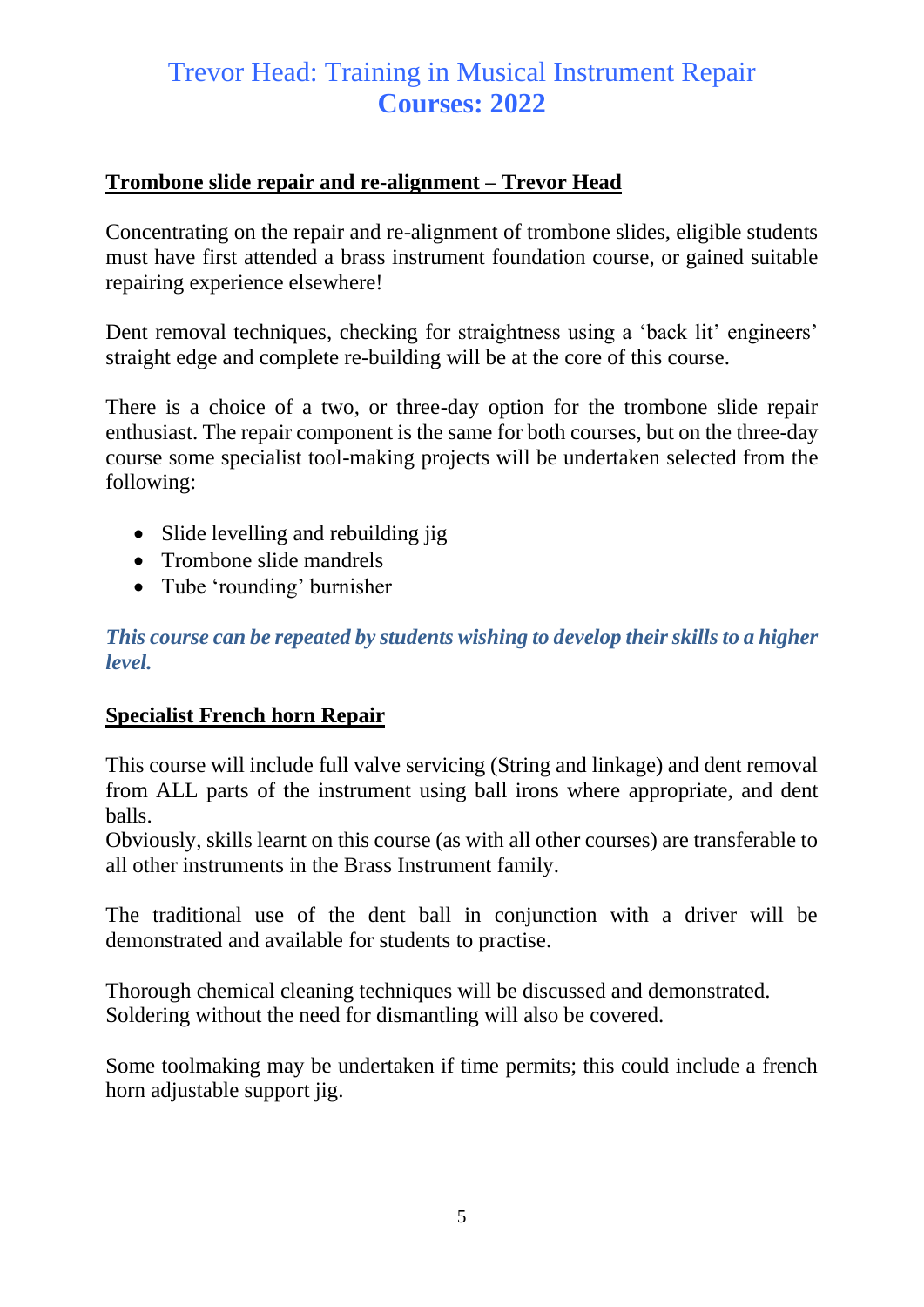### **Trombone slide repair and re-alignment – Trevor Head**

Concentrating on the repair and re-alignment of trombone slides, eligible students must have first attended a brass instrument foundation course, or gained suitable repairing experience elsewhere!

Dent removal techniques, checking for straightness using a 'back lit' engineers' straight edge and complete re-building will be at the core of this course.

There is a choice of a two, or three-day option for the trombone slide repair enthusiast. The repair component is the same for both courses, but on the three-day course some specialist tool-making projects will be undertaken selected from the following:

- Slide levelling and rebuilding jig
- Trombone slide mandrels
- Tube 'rounding' burnisher

*This course can be repeated by students wishing to develop their skills to a higher level.*

#### **Specialist French horn Repair**

This course will include full valve servicing (String and linkage) and dent removal from ALL parts of the instrument using ball irons where appropriate, and dent balls.

Obviously, skills learnt on this course (as with all other courses) are transferable to all other instruments in the Brass Instrument family.

The traditional use of the dent ball in conjunction with a driver will be demonstrated and available for students to practise.

Thorough chemical cleaning techniques will be discussed and demonstrated. Soldering without the need for dismantling will also be covered.

Some toolmaking may be undertaken if time permits; this could include a french horn adjustable support jig.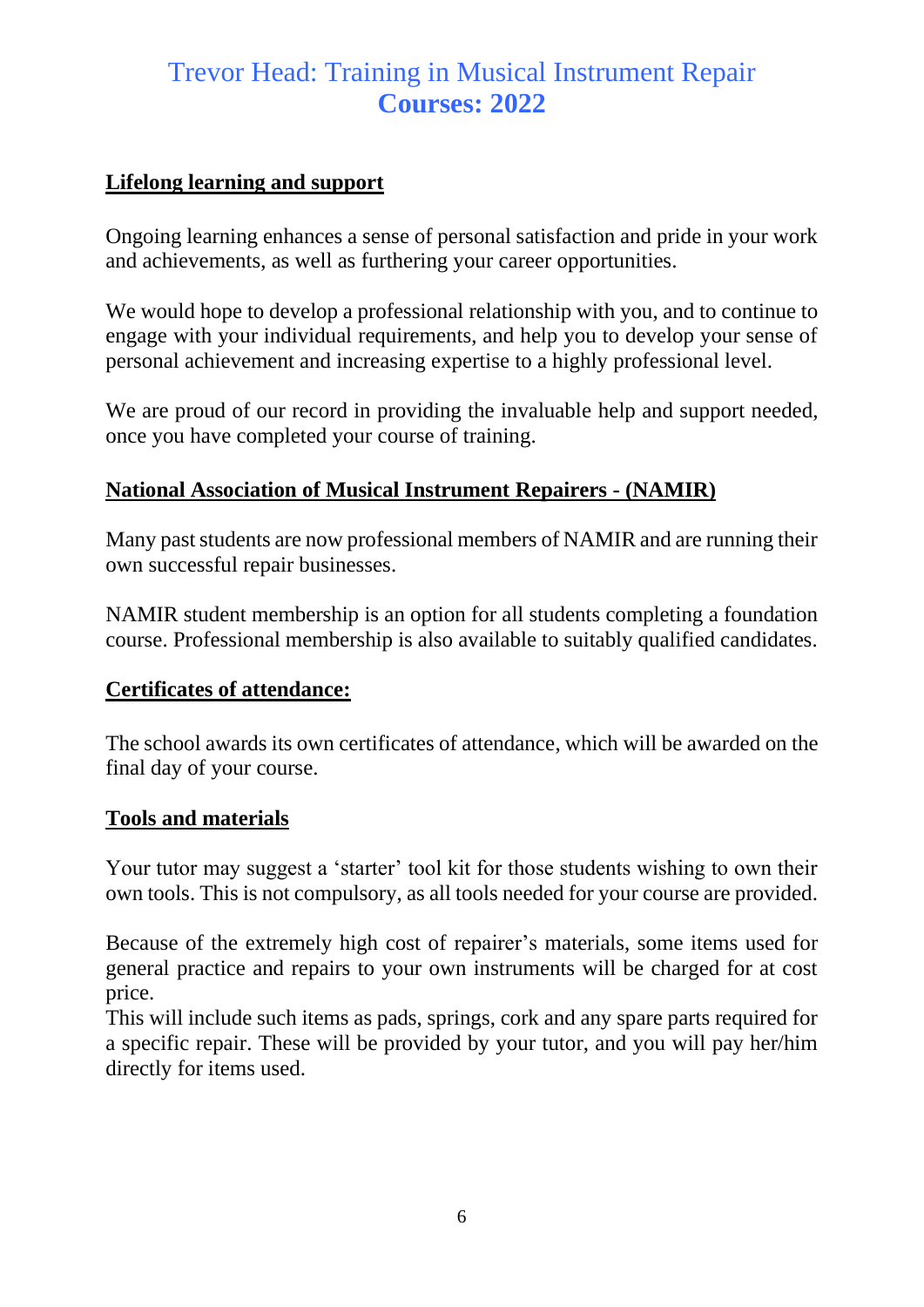### **Lifelong learning and support**

Ongoing learning enhances a sense of personal satisfaction and pride in your work and achievements, as well as furthering your career opportunities.

We would hope to develop a professional relationship with you, and to continue to engage with your individual requirements, and help you to develop your sense of personal achievement and increasing expertise to a highly professional level.

We are proud of our record in providing the invaluable help and support needed, once you have completed your course of training.

### **National Association of Musical Instrument Repairers - (NAMIR)**

Many past students are now professional members of NAMIR and are running their own successful repair businesses.

NAMIR student membership is an option for all students completing a foundation course. Professional membership is also available to suitably qualified candidates.

### **Certificates of attendance:**

The school awards its own certificates of attendance, which will be awarded on the final day of your course.

#### **Tools and materials**

Your tutor may suggest a 'starter' tool kit for those students wishing to own their own tools. This is not compulsory, as all tools needed for your course are provided.

Because of the extremely high cost of repairer's materials, some items used for general practice and repairs to your own instruments will be charged for at cost price.

This will include such items as pads, springs, cork and any spare parts required for a specific repair. These will be provided by your tutor, and you will pay her/him directly for items used.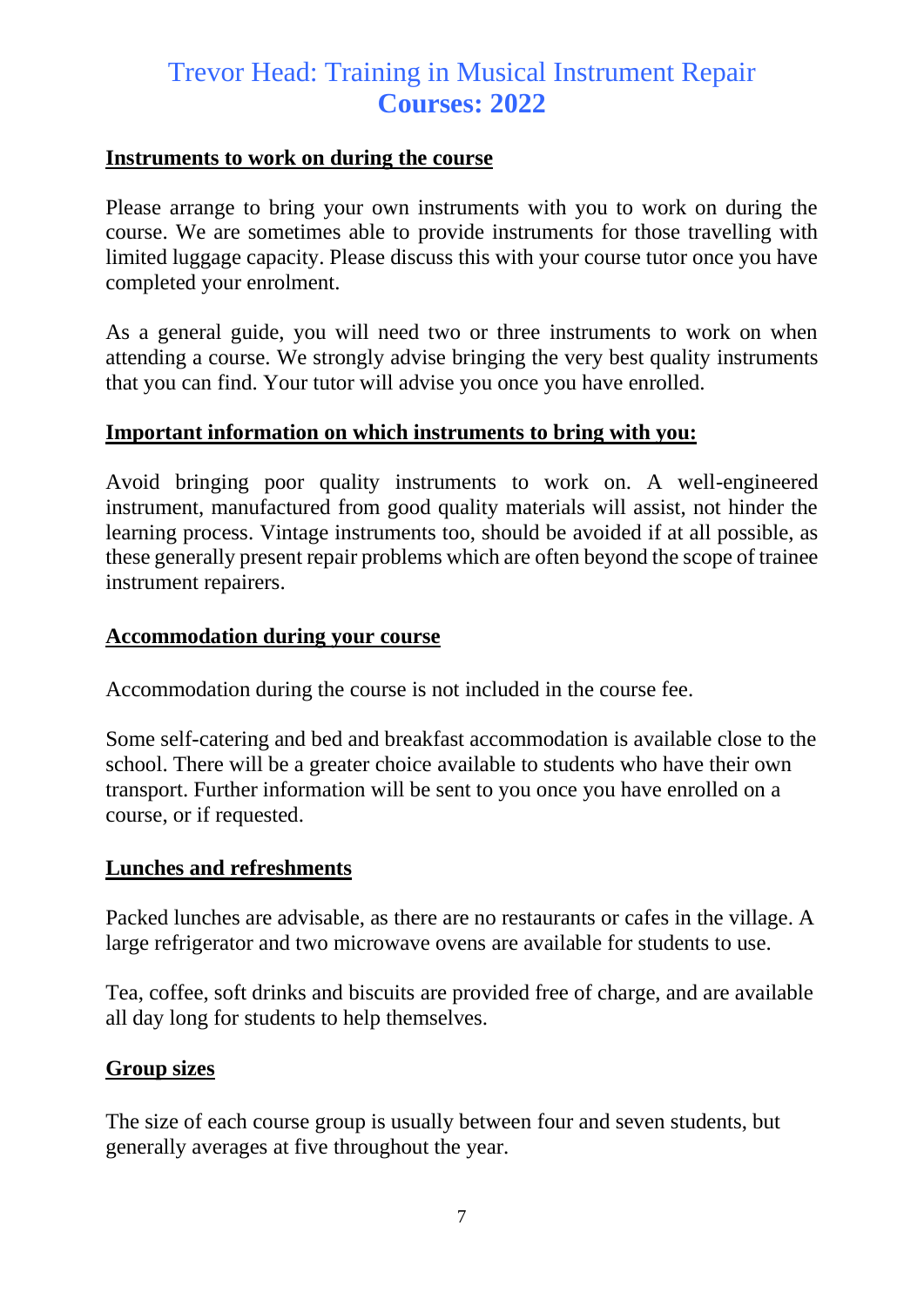#### **Instruments to work on during the course**

Please arrange to bring your own instruments with you to work on during the course. We are sometimes able to provide instruments for those travelling with limited luggage capacity. Please discuss this with your course tutor once you have completed your enrolment.

As a general guide, you will need two or three instruments to work on when attending a course. We strongly advise bringing the very best quality instruments that you can find. Your tutor will advise you once you have enrolled.

#### **Important information on which instruments to bring with you:**

Avoid bringing poor quality instruments to work on. A well-engineered instrument, manufactured from good quality materials will assist, not hinder the learning process. Vintage instruments too, should be avoided if at all possible, as these generally present repair problems which are often beyond the scope of trainee instrument repairers.

#### **Accommodation during your course**

Accommodation during the course is not included in the course fee.

Some self-catering and bed and breakfast accommodation is available close to the school. There will be a greater choice available to students who have their own transport. Further information will be sent to you once you have enrolled on a course, or if requested.

#### **Lunches and refreshments**

Packed lunches are advisable, as there are no restaurants or cafes in the village. A large refrigerator and two microwave ovens are available for students to use.

Tea, coffee, soft drinks and biscuits are provided free of charge, and are available all day long for students to help themselves.

#### **Group sizes**

The size of each course group is usually between four and seven students, but generally averages at five throughout the year.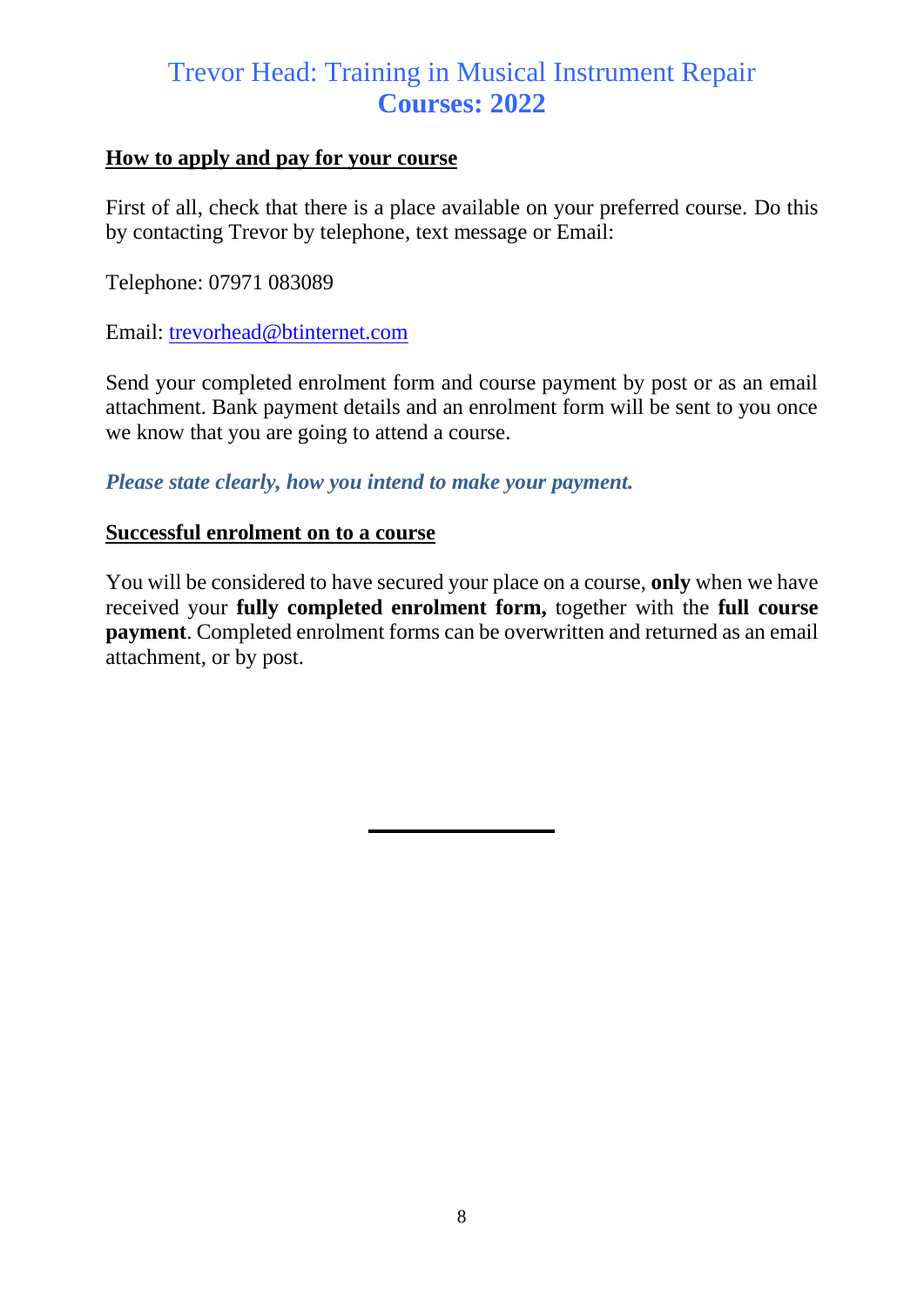#### **How to apply and pay for your course**

First of all, check that there is a place available on your preferred course. Do this by contacting Trevor by telephone, text message or Email:

Telephone: 07971 083089

Email: [trevorhead@btinternet.com](mailto:trevorhead@btinternet.com)

Send your completed enrolment form and course payment by post or as an email attachment. Bank payment details and an enrolment form will be sent to you once we know that you are going to attend a course.

*Please state clearly, how you intend to make your payment.*

#### **Successful enrolment on to a course**

You will be considered to have secured your place on a course, **only** when we have received your **fully completed enrolment form,** together with the **full course payment**. Completed enrolment forms can be overwritten and returned as an email attachment, or by post.

**\_\_\_\_\_\_\_\_\_\_\_\_\_\_\_**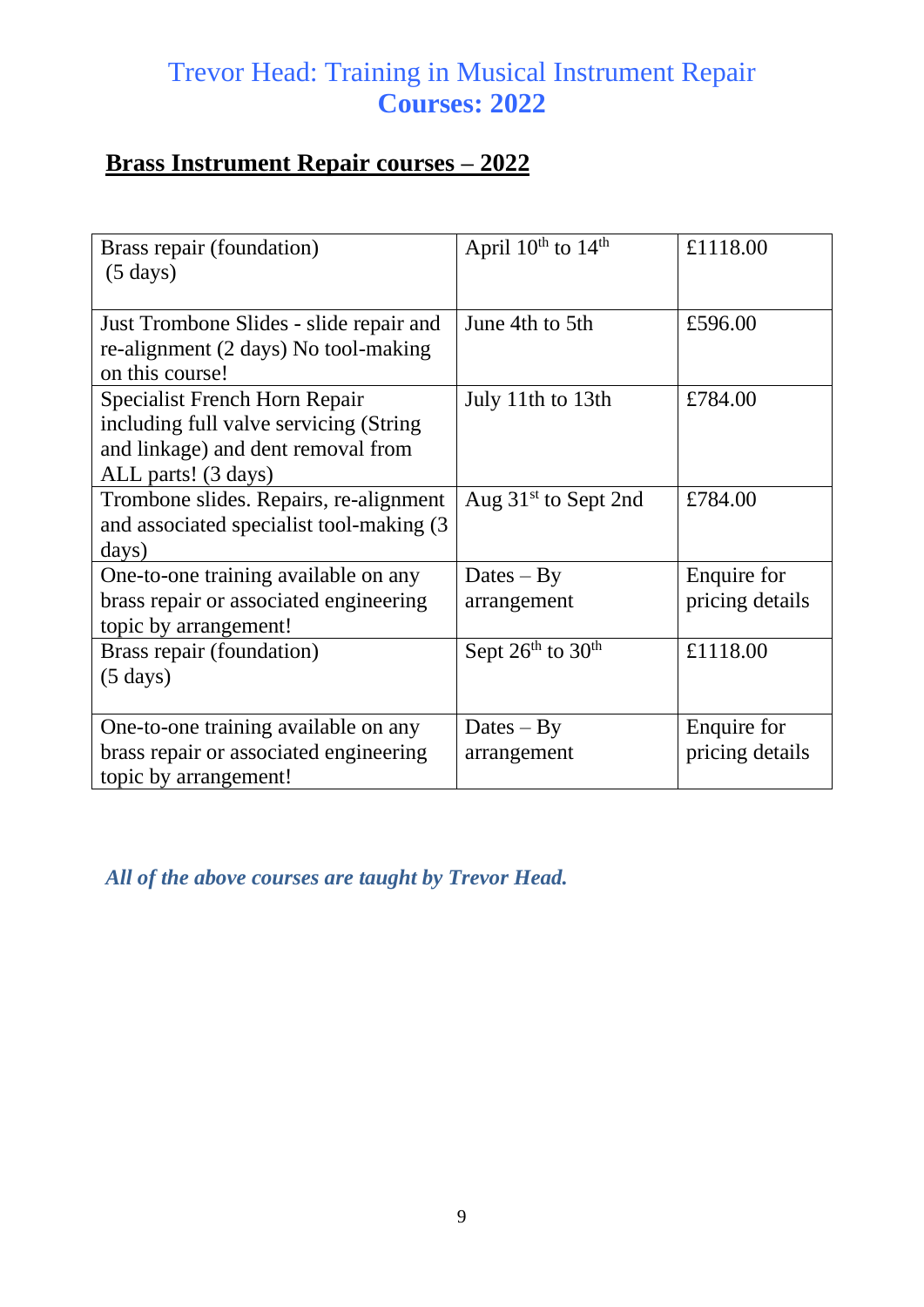## **Brass Instrument Repair courses – 2022**

| Brass repair (foundation)<br>$(5 \text{ days})$                                                                                       | April $10^{th}$ to $14^{th}$ | £1118.00                       |
|---------------------------------------------------------------------------------------------------------------------------------------|------------------------------|--------------------------------|
| Just Trombone Slides - slide repair and<br>re-alignment (2 days) No tool-making<br>on this course!                                    | June 4th to 5th              | £596.00                        |
| Specialist French Horn Repair<br>including full valve servicing (String)<br>and linkage) and dent removal from<br>ALL parts! (3 days) | July 11th to 13th            | £784.00                        |
| Trombone slides. Repairs, re-alignment<br>and associated specialist tool-making (3)<br>days)                                          | Aug $31st$ to Sept 2nd       | £784.00                        |
| One-to-one training available on any<br>brass repair or associated engineering<br>topic by arrangement!                               | $Dates - By$<br>arrangement  | Enquire for<br>pricing details |
| Brass repair (foundation)<br>$(5 \text{ days})$                                                                                       | Sept $26th$ to $30th$        | £1118.00                       |
| One-to-one training available on any<br>brass repair or associated engineering<br>topic by arrangement!                               | $Dates - By$<br>arrangement  | Enquire for<br>pricing details |

*All of the above courses are taught by Trevor Head.*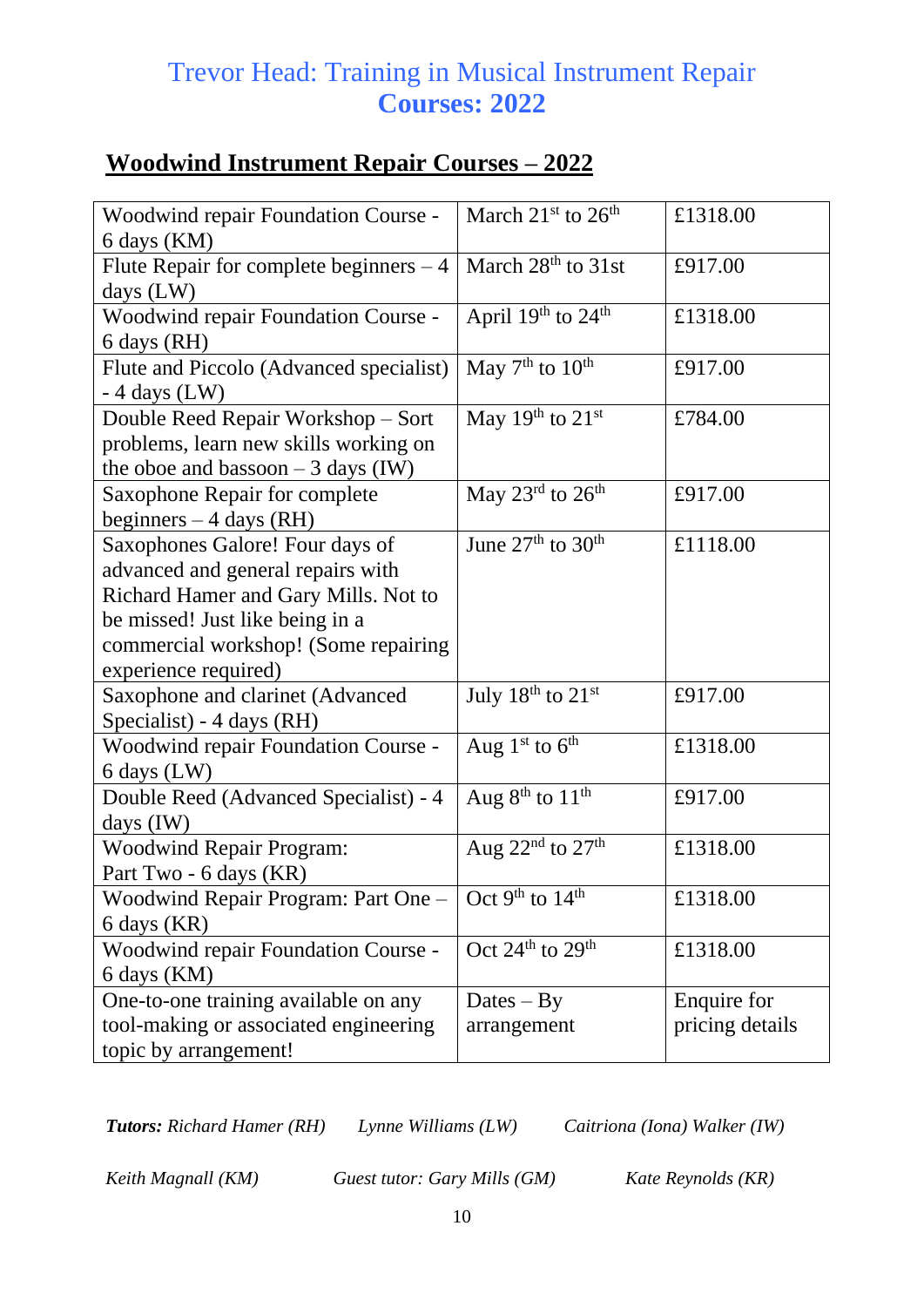## **Woodwind Instrument Repair Courses – 2022**

| Woodwind repair Foundation Course -        | March 21 <sup>st</sup> to 26 <sup>th</sup> | £1318.00        |
|--------------------------------------------|--------------------------------------------|-----------------|
| 6 days (KM)                                |                                            |                 |
| Flute Repair for complete beginners $-4$   | March 28 <sup>th</sup> to 31st             | £917.00         |
| days $(LW)$                                |                                            |                 |
| Woodwind repair Foundation Course -        | April $19th$ to $24th$                     | £1318.00        |
| 6 days (RH)                                |                                            |                 |
| Flute and Piccolo (Advanced specialist)    | May $7th$ to $10th$                        | £917.00         |
| $-4$ days (LW)                             |                                            |                 |
| Double Reed Repair Workshop - Sort         | May 19 <sup>th</sup> to 21 <sup>st</sup>   | £784.00         |
| problems, learn new skills working on      |                                            |                 |
| the oboe and bassoon $-3$ days (IW)        |                                            |                 |
| Saxophone Repair for complete              | May $23^{\text{rd}}$ to $26^{\text{th}}$   | £917.00         |
| beginners $-4$ days (RH)                   |                                            |                 |
| Saxophones Galore! Four days of            | June 27 <sup>th</sup> to 30 <sup>th</sup>  | £1118.00        |
| advanced and general repairs with          |                                            |                 |
| Richard Hamer and Gary Mills. Not to       |                                            |                 |
| be missed! Just like being in a            |                                            |                 |
| commercial workshop! (Some repairing       |                                            |                 |
| experience required)                       |                                            |                 |
| Saxophone and clarinet (Advanced           | July $18^{\text{th}}$ to $21^{\text{st}}$  | £917.00         |
| Specialist) - 4 days (RH)                  |                                            |                 |
| Woodwind repair Foundation Course -        | Aug $1st$ to $6th$                         | £1318.00        |
| 6 days (LW)                                |                                            |                 |
| Double Reed (Advanced Specialist) - 4      | Aug $8th$ to $11th$                        | £917.00         |
| days $(IW)$                                |                                            |                 |
| <b>Woodwind Repair Program:</b>            | Aug $22nd$ to $27th$                       | £1318.00        |
| Part Two - 6 days (KR)                     |                                            |                 |
| Woodwind Repair Program: Part One -        | Oct 9 <sup>th</sup> to $14$ <sup>th</sup>  | £1318.00        |
| 6 days (KR)                                |                                            |                 |
| <b>Woodwind repair Foundation Course -</b> | Oct 24 <sup>th</sup> to 29 <sup>th</sup>   | £1318.00        |
| 6 days (KM)                                |                                            |                 |
| One-to-one training available on any       | $\text{Dates} - \text{By}$                 | Enquire for     |
| tool-making or associated engineering      | arrangement                                | pricing details |
| topic by arrangement!                      |                                            |                 |

*Tutors: Richard Hamer (RH) Lynne Williams (LW) Caitriona (Iona) Walker (IW)*

*Keith Magnall (KM) Guest tutor: Gary Mills (GM) Kate Reynolds (KR)*